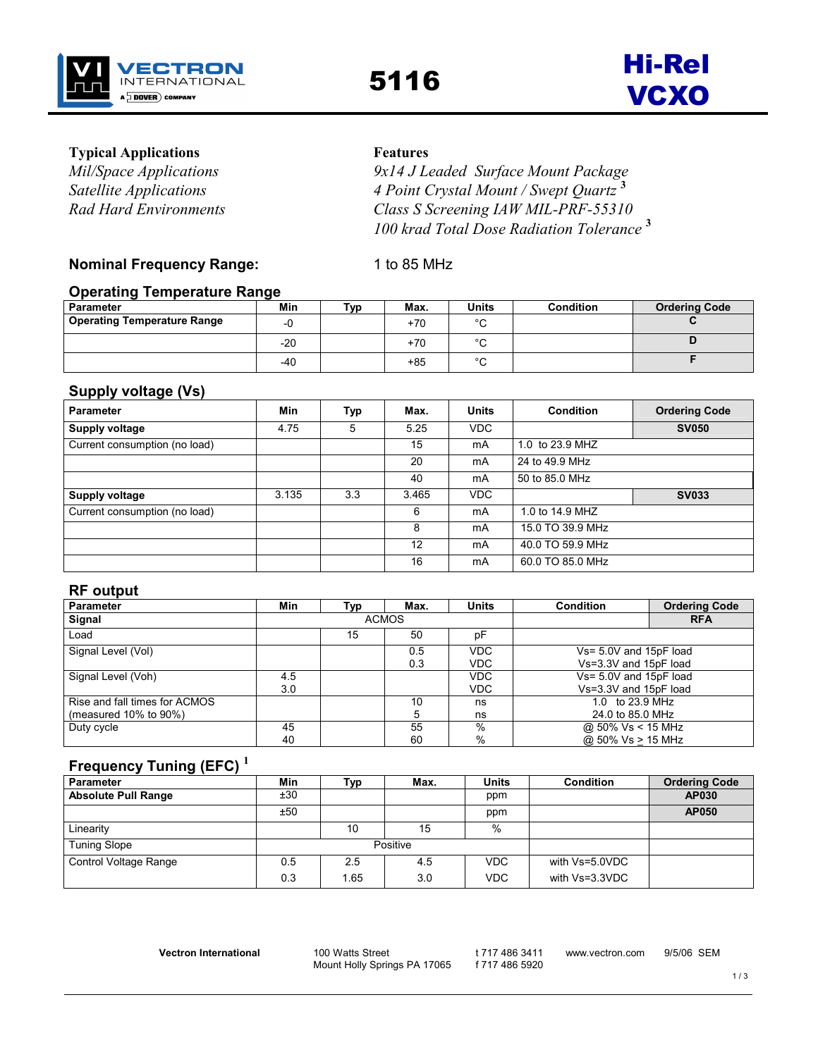

# **Typical Applications** Features

Mil/Space Applications 9x14 J Leaded Surface Mount Package Satellite Applications 4 Point Crystal Mount / Swept Quartz<sup>3</sup> Rad Hard Environments Class S Screening IAW MIL-PRF-55310 100 krad Total Dose Radiation Tolerance<sup>3</sup>

# Nominal Frequency Range: 1 to 85 MHz

# Operating Temperature Range

| Parameter                          | Min   | Typ | Max.  | <b>Units</b> | <b>Condition</b> | <b>Ordering Code</b> |
|------------------------------------|-------|-----|-------|--------------|------------------|----------------------|
| <b>Operating Temperature Range</b> | -∟    |     | $+70$ | $\sim$<br>ີ  |                  |                      |
|                                    | $-20$ |     | $+70$ | $\sim$       |                  |                      |
|                                    | $-40$ |     | +85   | $\circ$      |                  |                      |

# Supply voltage (Vs)

| <b>Parameter</b>              | Min   | Typ | Max.  | <b>Units</b> | <b>Condition</b> | <b>Ordering Code</b> |
|-------------------------------|-------|-----|-------|--------------|------------------|----------------------|
| <b>Supply voltage</b>         | 4.75  | 5   | 5.25  | <b>VDC</b>   |                  | <b>SV050</b>         |
| Current consumption (no load) |       |     | 15    | mA           | 1.0 to 23.9 MHZ  |                      |
|                               |       |     | 20    | mA           | 24 to 49.9 MHz   |                      |
|                               |       |     | 40    | mA           | 50 to 85.0 MHz   |                      |
| <b>Supply voltage</b>         | 3.135 | 3.3 | 3.465 | <b>VDC</b>   |                  | <b>SV033</b>         |
| Current consumption (no load) |       |     | 6     | mA           | 1.0 to 14.9 MHZ  |                      |
|                               |       |     | 8     | mA           | 15.0 TO 39.9 MHz |                      |
|                               |       |     | 12    | mA           | 40.0 TO 59.9 MHz |                      |
|                               |       |     | 16    | mA           | 60.0 TO 85.0 MHz |                      |

## RF output

| <b>Parameter</b>              | Min | Tvp | Max.         | <b>Units</b> | <b>Condition</b>       | <b>Ordering Code</b> |
|-------------------------------|-----|-----|--------------|--------------|------------------------|----------------------|
| Signal                        |     |     | <b>ACMOS</b> |              | <b>RFA</b>             |                      |
| Load                          |     | 15  | 50           | рF           |                        |                      |
| Signal Level (Vol)            |     |     | 0.5          | <b>VDC</b>   | Vs= 5.0V and 15pF load |                      |
|                               |     |     | 0.3          | <b>VDC</b>   | Vs=3.3V and 15pF load  |                      |
| Signal Level (Voh)            | 4.5 |     |              | VDC.         | Vs= 5.0V and 15pF load |                      |
|                               | 3.0 |     |              | <b>VDC</b>   | Vs=3.3V and 15pF load  |                      |
| Rise and fall times for ACMOS |     |     | 10           | ns           | 1.0 to 23.9 MHz        |                      |
| (measured $10\%$ to $90\%$ )  |     |     | 5            | ns           | 24.0 to 85.0 MHz       |                      |
| Duty cycle                    | 45  |     | 55           | %            | @ 50% Vs < 15 MHz      |                      |
|                               | 40  |     | 60           | %            | @ 50% Vs > 15 MHz      |                      |

# Frequency Tuning (EFC) $<sup>1</sup>$ </sup>

| <b>Parameter</b>           | Min | Тур | Max.     | <b>Units</b> | <b>Condition</b> | <b>Ordering Code</b> |
|----------------------------|-----|-----|----------|--------------|------------------|----------------------|
| <b>Absolute Pull Range</b> | ±30 |     |          | ppm          |                  | <b>AP030</b>         |
|                            | ±50 |     |          | ppm          |                  | <b>AP050</b>         |
| Linearity                  |     | 10  | 15       | %            |                  |                      |
| <b>Tuning Slope</b>        |     |     | Positive |              |                  |                      |
| Control Voltage Range      | 0.5 | 2.5 | 4.5      | <b>VDC</b>   | with Vs=5.0VDC   |                      |
|                            | 0.3 | .65 | 3.0      | <b>VDC</b>   | with Vs=3.3VDC   |                      |

Vectron International 100 Watts Street

Mount Holly Springs PA 17065

t 717 486 3411 f 717 486 5920 www.vectron.com 9/5/06 SEM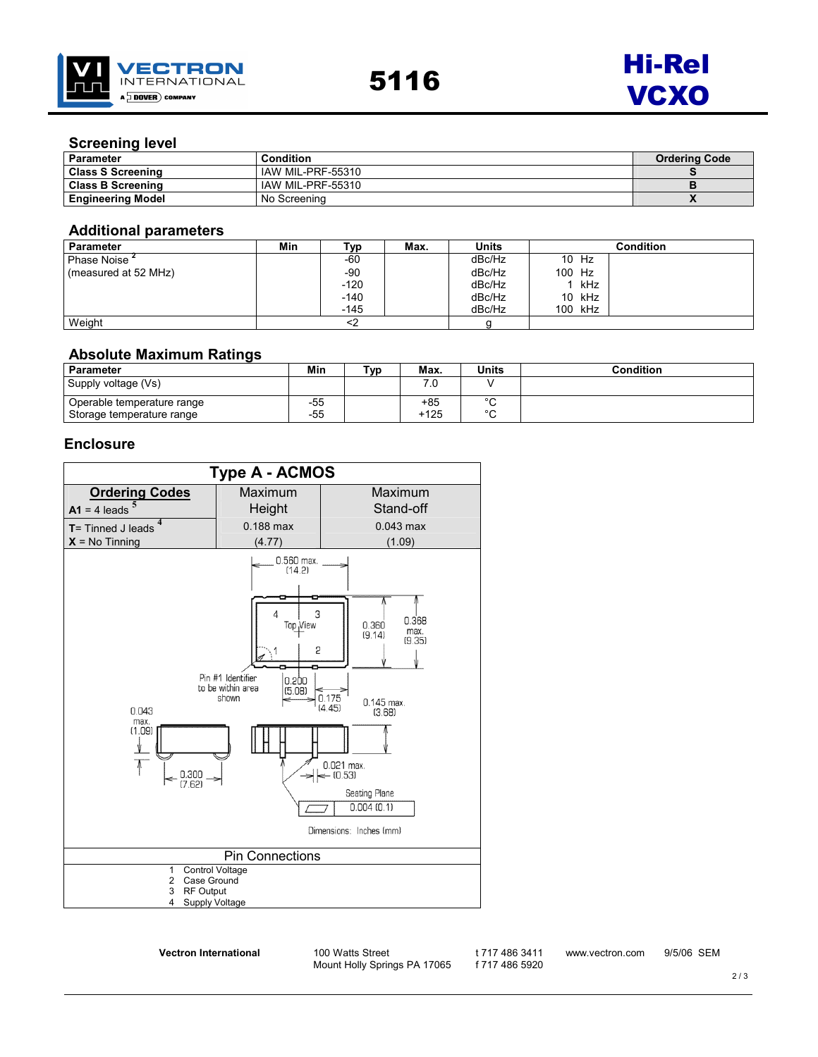



## Screening level

| <b>Parameter</b>         | <b>Condition</b>  | <b>Ordering Code</b> |
|--------------------------|-------------------|----------------------|
| <b>Class S Screening</b> | IAW MIL-PRF-55310 |                      |
| <b>Class B Screening</b> | IAW MIL-PRF-55310 |                      |
| Engineering Model        | No Screening      |                      |

### Additional parameters

| Parameter            | Min | Typ.   | Max. | Units  |        |         | Condition |
|----------------------|-----|--------|------|--------|--------|---------|-----------|
| Phase Noise 1        |     | -60    |      | dBc/Hz |        | 10 Hz   |           |
| (measured at 52 MHz) |     | -90    |      | dBc/Hz | 100 Hz |         |           |
|                      |     | $-120$ |      | dBc/Hz |        | ! kHz   |           |
|                      |     | $-140$ |      | dBc/Hz |        | 10 kHz  |           |
|                      |     | $-145$ |      | dBc/Hz |        | 100 kHz |           |
| Weight               |     |        |      |        |        |         |           |

#### Absolute Maximum Ratings

| <b>Parameter</b>           | Min   | Typ | Max.   | <b>Units</b> | Condition |
|----------------------------|-------|-----|--------|--------------|-----------|
| Supply voltage (Vs)        |       |     |        |              |           |
| Operable temperature range | -55   |     | +85    | $\sim$       |           |
| Storage temperature range  | $-55$ |     | $+125$ | $\sim$       |           |

## **Enclosure**

| <b>Type A - ACMOS</b>                                            |                                                                                                                       |                                                                                                                                                                                            |  |  |  |  |  |  |
|------------------------------------------------------------------|-----------------------------------------------------------------------------------------------------------------------|--------------------------------------------------------------------------------------------------------------------------------------------------------------------------------------------|--|--|--|--|--|--|
| <b>Ordering Codes</b>                                            | Maximum                                                                                                               | Maximum                                                                                                                                                                                    |  |  |  |  |  |  |
| $A1 = 4$ leads                                                   | Height                                                                                                                | Stand-off                                                                                                                                                                                  |  |  |  |  |  |  |
| $T =$ Tinned J leads                                             | 0.188 max                                                                                                             | $0.043$ max                                                                                                                                                                                |  |  |  |  |  |  |
| $X = No$ Tinning                                                 | (4.77)                                                                                                                | (1.09)                                                                                                                                                                                     |  |  |  |  |  |  |
| 0.043<br>max.<br>(1.09)<br>y<br>$=$ $\frac{0.300}{(7.62)}$       | 0.560 max.<br>(14.2)<br>3<br>Δ<br>Top View<br>5<br>Pin #1 Identifier<br>0.200<br>to be within area<br>(5.08)<br>shown | 0.368<br>0.360<br>max.<br>(9.14)<br>(9.35)<br>$0.175$<br>$(4.45)$<br>$0.145$ max.<br>(3.68)<br>$0.021$ max.<br>$= (0.53)$<br><b>Seating Plane</b><br>0.004(0.1)<br>Dimensions: Inches (mm) |  |  |  |  |  |  |
|                                                                  | <b>Pin Connections</b>                                                                                                |                                                                                                                                                                                            |  |  |  |  |  |  |
| Control Voltage<br>$\mathbf{1}$<br>$\overline{2}$<br>Case Ground |                                                                                                                       |                                                                                                                                                                                            |  |  |  |  |  |  |
| <b>RF Output</b><br>3<br>Supply Voltage<br>4                     |                                                                                                                       |                                                                                                                                                                                            |  |  |  |  |  |  |
|                                                                  |                                                                                                                       |                                                                                                                                                                                            |  |  |  |  |  |  |

Vectron International 100 Watts Street

Mount Holly Springs PA 17065

t 717 486 3411 f 717 486 5920 www.vectron.com 9/5/06 SEM